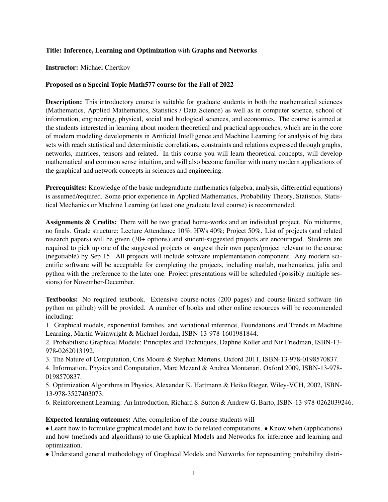## Title: Inference, Learning and Optimization with Graphs and Networks

## Instructor: Michael Chertkov

## Proposed as a Special Topic Math577 course for the Fall of 2022

Description: This introductory course is suitable for graduate students in both the mathematical sciences (Mathematics, Applied Mathematics, Statistics / Data Science) as well as in computer science, school of information, engineering, physical, social and biological sciences, and economics. The course is aimed at the students interested in learning about modern theoretical and practical approaches, which are in the core of modern modeling developments in Artificial Intelligence and Machine Learning for analysis of big data sets with reach statistical and deterministic correlations, constraints and relations expressed through graphs, networks, matrices, tensors and related. In this course you will learn theoretical concepts, will develop mathematical and common sense intuition, and will also become familiar with many modern applications of the graphical and network concepts in sciences and engineering.

Prerequisites: Knowledge of the basic undegraduate mathematics (algebra, analysis, differential equations) is assumed/required. Some prior experience in Applied Mathematics, Probability Theory, Statistics, Statistical Mechanics or Machine Learning (at least one graduate level course) is recommended.

Assignments & Credits: There will be two graded home-works and an individual project. No midterms, no finals. Grade structure: Lecture Attendance 10%; HWs 40%; Project 50%. List of projects (and related research papers) will be given (30+ options) and student-suggested projects are encouraged. Students are required to pick up one of the suggested projects or suggest their own paper/project relevant to the course (negotiable) by Sep 15. All projects will include software implementation component. Any modern scientific software will be acceptable for completing the projects, including matlab, mathematica, julia and python with the preference to the later one. Project presentations will be scheduled (possibly multiple sessions) for November-December.

Textbooks: No required textbook. Extensive course-notes (200 pages) and course-linked software (in python on github) will be provided. A number of books and other online resources will be recommended including:

1. Graphical models, exponential families, and variational inference, Foundations and Trends in Machine Learning, Martin Wainwright & Michael Jordan, ISBN-13-978-1601981844.

2. Probabilistic Graphical Models: Principles and Techniques, Daphne Koller and Nir Friedman, ISBN-13- 978-0262013192.

3. The Nature of Computation, Cris Moore & Stephan Mertens, Oxford 2011, ISBN-13-978-0198570837.

4. Information, Physics and Computation, Marc Mezard & Andrea Montanari, Oxford 2009, ISBN-13-978- 0198570837.

5. Optimization Algorithms in Physics, Alexander K. Hartmann & Heiko Rieger, Wiley-VCH, 2002, ISBN-13-978-3527403073.

6. Reinforcement Learning: An Introduction, Richard S. Sutton & Andrew G. Barto, ISBN-13-978-0262039246.

Expected learning outcomes: After completion of the course students will

• Learn how to formulate graphical model and how to do related computations. • Know when (applications) and how (methods and algorithms) to use Graphical Models and Networks for inference and learning and optimization.

• Understand general methodology of Graphical Models and Networks for representing probability distri-